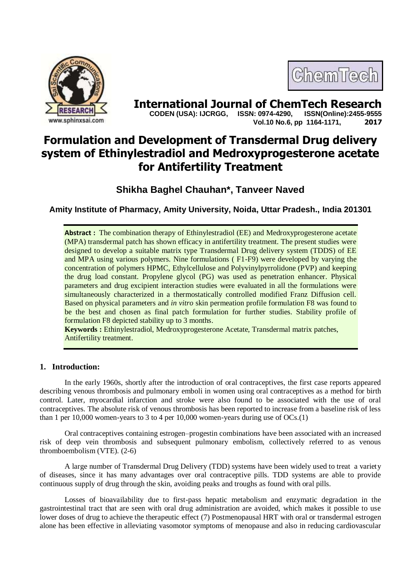



**International Journal of ChemTech Research**<br>CODEN (USA): IJCRGG. ISSN: 0974-4290. ISSN(Online):2455-9555  **CODEN (USA): IJCRGG, ISSN: 0974-4290, Vol.10 No.6, pp 1164-1171, 2017**

# **Formulation and Development of Transdermal Drug delivery system of Ethinylestradiol and Medroxyprogesterone acetate for Antifertility Treatment**

**Shikha Baghel Chauhan\*, Tanveer Naved**

**Amity Institute of Pharmacy, Amity University, Noida, Uttar Pradesh., India 201301**

**Abstract :** The combination therapy of Ethinylestradiol (EE) and Medroxyprogesterone acetate (MPA) transdermal patch has shown efficacy in antifertility treatment. The present studies were designed to develop a suitable matrix type Transdermal Drug delivery system (TDDS) of EE and MPA using various polymers. Nine formulations ( F1-F9) were developed by varying the concentration of polymers HPMC, Ethylcellulose and Polyvinylpyrrolidone (PVP) and keeping the drug load constant. Propylene glycol (PG) was used as penetration enhancer. Physical parameters and drug excipient interaction studies were evaluated in all the formulations were simultaneously characterized in a thermostatically controlled modified Franz Diffusion cell. Based on physical parameters and *in vitro* skin permeation profile formulation F8 was found to be the best and chosen as final patch formulation for further studies. Stability profile of formulation F8 depicted stability up to 3 months.

**Keywords :** Ethinylestradiol, Medroxyprogesterone Acetate, Transdermal matrix patches, Antifertility treatment.

# **1. Introduction:**

In the early 1960s, shortly after the introduction of oral contraceptives, the first case reports appeared describing venous thrombosis and pulmonary emboli in women using oral contraceptives as a method for birth control. Later, myocardial infarction and stroke were also found to be associated with the use of oral contraceptives. The absolute risk of venous thrombosis has been reported to increase from a baseline risk of less than 1 per 10,000 women-years to 3 to 4 per 10,000 women-years during use of OCs.(1)

Oral contraceptives containing estrogen–progestin combinations have been associated with an increased risk of deep vein thrombosis and subsequent pulmonary embolism, collectively referred to as venous thromboembolism (VTE). (2-6)

A large number of Transdermal Drug Delivery (TDD) systems have been widely used to treat a variety of diseases, since it has many advantages over oral contraceptive pills. TDD systems are able to provide continuous supply of drug through the skin, avoiding peaks and troughs as found with oral pills.

Losses of bioavailability due to first-pass hepatic metabolism and enzymatic degradation in the gastrointestinal tract that are seen with oral drug administration are avoided, which makes it possible to use lower doses of drug to achieve the therapeutic effect (7) Postmenopausal HRT with oral or transdermal estrogen alone has been effective in alleviating vasomotor symptoms of menopause and also in reducing cardiovascular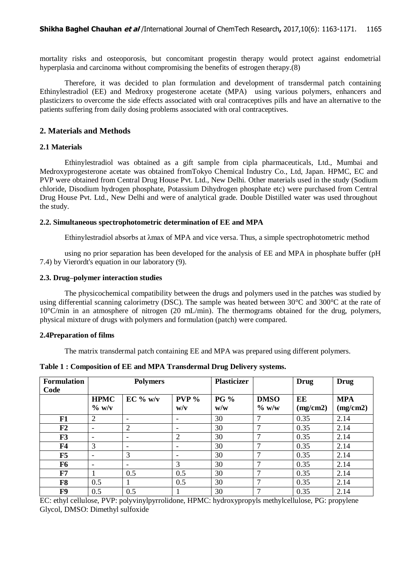mortality risks and osteoporosis, but concomitant progestin therapy would protect against endometrial hyperplasia and carcinoma without compromising the benefits of estrogen therapy.(8)

Therefore, it was decided to plan formulation and development of transdermal patch containing Ethinylestradiol (EE) and Medroxy progesterone acetate (MPA) using various polymers, enhancers and plasticizers to overcome the side effects associated with oral contraceptives pills and have an alternative to the patients suffering from daily dosing problems associated with oral contraceptives.

## **2. Materials and Methods**

## **2.1 Materials**

Ethinylestradiol was obtained as a gift sample from cipla pharmaceuticals, Ltd., Mumbai and Medroxyprogesterone acetate was obtained fromTokyo Chemical Industry Co., Ltd, Japan. HPMC, EC and PVP were obtained from Central Drug House Pvt. Ltd., New Delhi. Other materials used in the study (Sodium chloride, Disodium hydrogen phosphate, Potassium Dihydrogen phosphate etc) were purchased from Central Drug House Pvt. Ltd., New Delhi and were of analytical grade. Double Distilled water was used throughout the study.

## **2.2. Simultaneous spectrophotometric determination of EE and MPA**

Ethinylestradiol absorbs at λmax of MPA and vice versa. Thus, a simple spectrophotometric method

using no prior separation has been developed for the analysis of EE and MPA in phosphate buffer (pH 7.4) by Vierordt's equation in our laboratory (9).

## **2.3. Drug–polymer interaction studies**

The physicochemical compatibility between the drugs and polymers used in the patches was studied by using differential scanning calorimetry (DSC). The sample was heated between  $30^{\circ}$ C and  $30^{\circ}$ C at the rate of 10°C/min in an atmosphere of nitrogen (20 mL/min). The thermograms obtained for the drug, polymers, physical mixture of drugs with polymers and formulation (patch) were compared.

## **2.4Preparation of films**

The matrix transdermal patch containing EE and MPA was prepared using different polymers.

| <b>Formulation</b><br>Code |                          | <b>Polymers</b>          |                          | <b>Plasticizer</b> |                         | <b>Drug</b>    | <b>Drug</b>            |
|----------------------------|--------------------------|--------------------------|--------------------------|--------------------|-------------------------|----------------|------------------------|
|                            | <b>HPMC</b><br>$\%$ w/v  | $EC\%$ w/v               | PVP <sub>0</sub><br>w/v  | <b>PG</b> %<br>w/w | <b>DMSO</b><br>$\%$ w/w | EE<br>(mg/cm2) | <b>MPA</b><br>(mg/cm2) |
| F1                         | 2                        |                          | $\overline{\phantom{0}}$ | 30                 | 7                       | 0.35           | 2.14                   |
| F2                         | -                        | 2                        |                          | 30                 | $\mathbf{r}$            | 0.35           | 2.14                   |
| F3                         | $\overline{\phantom{a}}$ | $\overline{\phantom{a}}$ | 2                        | 30                 | ┑                       | 0.35           | 2.14                   |
| <b>F4</b>                  | 3                        | $\overline{\phantom{0}}$ |                          | 30                 | ⇁                       | 0.35           | 2.14                   |
| F5                         | ۰                        | 3                        | $\overline{\phantom{a}}$ | 30                 | $\mathbf{r}$            | 0.35           | 2.14                   |
| F <sub>6</sub>             | $\overline{\phantom{a}}$ | $\overline{\phantom{a}}$ | 3                        | 30                 | $\mathbf{r}$            | 0.35           | 2.14                   |
| F7                         |                          | 0.5                      | 0.5                      | 30                 | ⇁                       | 0.35           | 2.14                   |
| F8                         | 0.5                      |                          | 0.5                      | 30                 | 7                       | 0.35           | 2.14                   |
| F9                         | 0.5                      | 0.5                      |                          | 30                 | ┑                       | 0.35           | 2.14                   |

**Table 1 : Composition of EE and MPA Transdermal Drug Delivery systems.**

EC: ethyl cellulose, PVP: polyvinylpyrrolidone, HPMC: hydroxypropyls methylcellulose, PG: propylene Glycol, DMSO: Dimethyl sulfoxide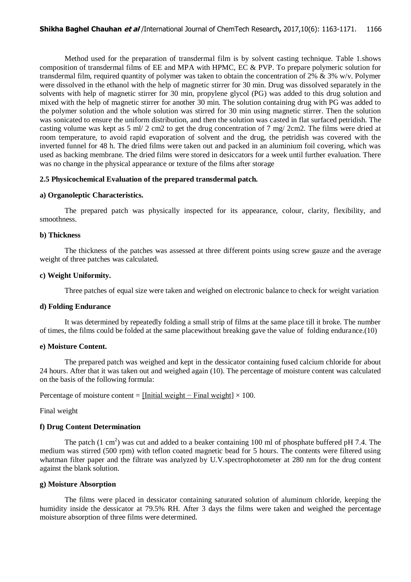Method used for the preparation of transdermal film is by solvent casting technique. Table 1.shows composition of transdermal films of  $EE$  and MPA with HPMC,  $EC \& PVP$ . To prepare polymeric solution for transdermal film, required quantity of polymer was taken to obtain the concentration of 2%  $\&$  3% w/v. Polymer were dissolved in the ethanol with the help of magnetic stirrer for 30 min. Drug was dissolved separately in the solvents with help of magnetic stirrer for 30 min, propylene glycol (PG) was added to this drug solution and mixed with the help of magnetic stirrer for another 30 min. The solution containing drug with PG was added to the polymer solution and the whole solution was stirred for 30 min using magnetic stirrer. Then the solution was sonicated to ensure the uniform distribution, and then the solution was casted in flat surfaced petridish. The casting volume was kept as 5 ml/ 2 cm2 to get the drug concentration of 7 mg/ 2cm2. The films were dried at room temperature, to avoid rapid evaporation of solvent and the drug, the petridish was covered with the inverted funnel for 48 h. The dried films were taken out and packed in an aluminium foil covering, which was used as backing membrane. The dried films were stored in desiccators for a week until further evaluation. There was no change in the physical appearance or texture of the films after storage

# **2.5 Physicochemical Evaluation of the prepared transdermal patch.**

# **a) Organoleptic Characteristics.**

The prepared patch was physically inspected for its appearance, colour, clarity, flexibility, and smoothness.

## **b) Thickness**

The thickness of the patches was assessed at three different points using screw gauze and the average weight of three patches was calculated.

## **c) Weight Uniformity.**

Three patches of equal size were taken and weighed on electronic balance to check for weight variation

## **d) Folding Endurance**

It was determined by repeatedly folding a small strip of films at the same place till it broke. The number of times, the films could be folded at the same placewithout breaking gave the value of folding endurance.(10)

# **e) Moisture Content.**

The prepared patch was weighed and kept in the dessicator containing fused calcium chloride for about 24 hours. After that it was taken out and weighed again (10). The percentage of moisture content was calculated on the basis of the following formula:

Percentage of moisture content =  $[Initial weight - Final weight] \times 100$ .

Final weight

# **f) Drug Content Determination**

The patch  $(1 \text{ cm}^2)$  was cut and added to a beaker containing 100 ml of phosphate buffered pH 7.4. The medium was stirred (500 rpm) with teflon coated magnetic bead for 5 hours. The contents were filtered using whatman filter paper and the filtrate was analyzed by U.V. spectrophotometer at 280 nm for the drug content against the blank solution.

## **g) Moisture Absorption**

The films were placed in dessicator containing saturated solution of aluminum chloride, keeping the humidity inside the dessicator at 79.5% RH. After 3 days the films were taken and weighed the percentage moisture absorption of three films were determined.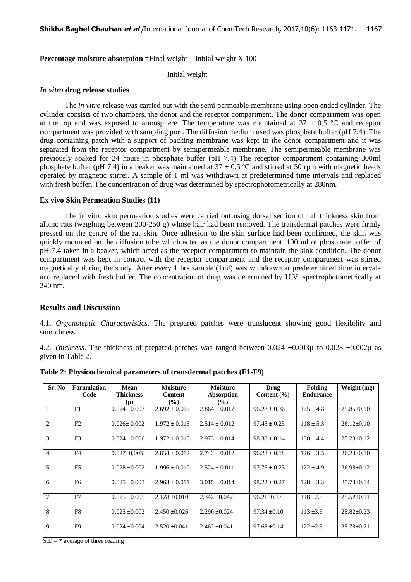**Percentage moisture absorption =**Final weight – Initial weight X 100

Initial weight

## *In vitro* **drug release studies**

The *in vitro* release was carried out with the semi permeable membrane using open ended cylinder. The cylinder consists of two chambers, the donor and the receptor compartment. The donor compartment was open at the top and was exposed to atmosphere. The temperature was maintained at  $37 \pm 0.5$  °C and receptor compartment was provided with sampling port. The diffusion medium used was phosphate buffer (pH 7.4) .The drug containing patch with a support of backing membrane was kept in the donor compartment and it was separated from the receptor compartment by semipermeable membrane. The semipermeable membrane was previously soaked for 24 hours in phosphate buffer (pH 7.4) The receptor compartment containing 300ml phosphate buffer (pH 7.4) in a beaker was maintained at  $37 \pm 0.5$  °C and stirred at 50 rpm with magnetic beads operated by magnetic stirrer. A sample of 1 ml was withdrawn at predetermined time intervals and replaced with fresh buffer. The concentration of drug was determined by spectrophotometrically at 280nm.

# **Ex vivo Skin Permeation Studies (11)**

The in vitro skin permeation studies were carried out using dorsal section of full thickness skin from albino rats (weighing between 200-250 g) whose hair had been removed. The transdermal patches were firmly pressed on the centre of the rat skin. Once adhesion to the skin surface had been confirmed, the skin was quickly mounted on the diffusion tube which acted as the donor compartment. 100 ml of phosphate buffer of pH 7.4 taken in a beaker, which acted as the receptor compartment to maintain the sink condition. The donor compartment was kept in contact with the receptor compartment and the receptor compartment was stirred magnetically during the study. After every 1 hrs sample (1ml) was withdrawn at predetermined time intervals and replaced with fresh buffer. The concentration of drug was determined by U.V. spectrophotometrically at 240 nm.

# **Results and Discussion**

4.1. *Organoleptic Characteristics*. The prepared patches were translucent showing good flexibility and smoothness.

4.2. *Thickness*. The thickness of prepared patches was ranged between 0.024  $\pm$ 0.003µ to 0.028  $\pm$ 0.002µ as given in Table 2.

| Sr. No         | Formulation<br>Code | Mean<br><b>Thickness</b><br>$(\mu)$ | <b>Moisture</b><br><b>Content</b><br>$\frac{9}{6}$ | <b>Moisture</b><br>Absorption<br>$\frac{9}{6}$ | <b>Drug</b><br>Content $(\% )$ | <b>Folding</b><br><b>Endurance</b> | Weight (mg)      |
|----------------|---------------------|-------------------------------------|----------------------------------------------------|------------------------------------------------|--------------------------------|------------------------------------|------------------|
|                | F1                  | $0.024 \pm 0.003$                   | $2.692 \pm 0.012$                                  | $2.864 \pm 0.012$                              | $96.28 \pm 0.36$               | $125 \pm 4.8$                      | $25.85 \pm 0.10$ |
| 2              | F2                  | $0.026 + 0.002$                     | $1.972 \pm 0.013$                                  | $2.514 \pm 0.012$                              | $97.45 \pm 0.25$               | $118 \pm 5.3$                      | $26.12 \pm 0.10$ |
| $\mathcal{R}$  | F <sub>3</sub>      | $0.024 \pm 0.006$                   | $1.972 \pm 0.013$                                  | $2.973 \pm 0.014$                              | $98.38 \pm 0.14$               | $130 \pm 4.4$                      | $25.23 \pm 0.12$ |
| $\overline{4}$ | F <sub>4</sub>      | $0.027 \pm 0.003$                   | $2.834 + 0.012$                                    | $2.743 + 0.012$                                | $96.28 + 0.18$                 | $126 \pm 3.5$                      | $26.28 \pm 0.10$ |
| 5              | F <sub>5</sub>      | $0.028 \pm 0.002$                   | $1.996 \pm 0.010$                                  | $2.524 \pm 0.011$                              | $97.76 \pm 0.23$               | $122 \pm 4.9$                      | $26.98 \pm 0.12$ |
| 6              | F <sub>6</sub>      | $0.025 \pm 0.003$                   | $2.963 \pm 0.011$                                  | $3.015 + 0.014$                                | $98.23 + 0.27$                 | $128 \pm 3.3$                      | $25.78 \pm 0.14$ |
| $\tau$         | F7                  | $0.025 \pm 0.005$                   | $2.128 \pm 0.010$                                  | $2.342 \pm 0.042$                              | $96.21 \pm 0.17$               | $118 \pm 2.5$                      | $25.52 \pm 0.11$ |
| 8              | F <sub>8</sub>      | $0.025 + 0.002$                     | $2.450 + 0.026$                                    | $2.290 \pm 0.024$                              | $97.34 + 0.10$                 | $113 + 3.6$                        | $25.82 \pm 0.23$ |
| $\mathbf{Q}$   | F <sub>9</sub>      | $0.024 + 0.004$                     | $2.520 + 0.041$                                    | $2.462 + 0.041$                                | $97.68 \pm 0.14$               | $122 + 2.3$                        | $25.78 \pm 0.21$ |

**Table 2: Physicochemical parameters of transdermal patches (F1-F9)**

 $S.D = *$  average of three reading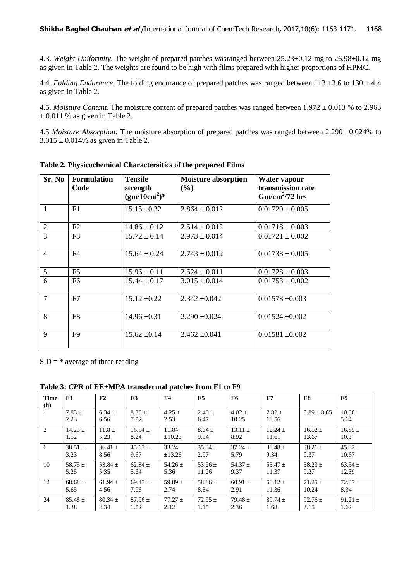4.3. *Weight Uniformity*. The weight of prepared patches wasranged between 25.23±0.12 mg to 26.98±0.12 mg as given in Table 2. The weights are found to be high with films prepared with higher proportions of HPMC.

4.4. *Folding Endurance*. The folding endurance of prepared patches was ranged between  $113 \pm 3.6$  to  $130 \pm 4.4$ as given in Table 2.

4.5. *Moisture Content*. The moisture content of prepared patches was ranged between 1.972 ± 0.013 % to 2.963  $\pm$  0.011 % as given in Table 2.

4.5 *Moisture Absorption:* The moisture absorption of prepared patches was ranged between 2.290 ±0.024% to  $3.015 \pm 0.014\%$  as given in Table 2.

| Sr. No                   | Formulation<br>Code | <b>Tensile</b><br>strength<br>$(gm/10cm^2)$ * | <b>Moisture absorption</b><br>$(\%)$ | Water vapour<br>transmission rate<br>$Gm/cm^2/72$ hrs |
|--------------------------|---------------------|-----------------------------------------------|--------------------------------------|-------------------------------------------------------|
| $\mathbf{1}$             | F1                  | $15.15 \pm 0.22$                              | $2.864 \pm 0.012$                    | $0.01720 \pm 0.005$                                   |
| $\overline{2}$           | F2                  | $14.86 \pm 0.12$                              | $2.514 \pm 0.012$                    | $0.01718 \pm 0.003$                                   |
| 3                        | F <sub>3</sub>      | $15.72 \pm 0.14$                              | $2.973 \pm 0.014$                    | $0.01721 \pm 0.002$                                   |
| $\overline{\mathcal{A}}$ | F <sub>4</sub>      | $15.64 \pm 0.24$                              | $2.743 \pm 0.012$                    | $0.01738 \pm 0.005$                                   |
| 5                        | F5                  | $15.96 \pm 0.11$                              | $2.524 \pm 0.011$                    | $0.01728 \pm 0.003$                                   |
| 6                        | F6                  | $15.44 \pm 0.17$                              | $3.015 \pm 0.014$                    | $0.01753 \pm 0.002$                                   |
| $\overline{7}$           | F7                  | $15.12 \pm 0.22$                              | $2.342 \pm 0.042$                    | $0.01578 \pm 0.003$                                   |
| 8                        | F <sub>8</sub>      | $14.96 \pm 0.31$                              | $2.290 \pm 0.024$                    | $0.01524 \pm 0.002$                                   |
| 9                        | F9                  | $15.62 \pm 0.14$                              | $2.462 \pm 0.041$                    | $0.01581 \pm 0.002$                                   |

**Table 2. Physicochemical Charactersitics of the prepared Films**

 $S.D = * average of three reading$ 

**Table 3:** *CP***R of EE+MPA transdermal patches from F1 to F9**

| <b>Time</b> | F1                 | F2                 | F3                 | <b>F4</b>          | F5                 | F6                  | F7                  | F8              | F9                  |
|-------------|--------------------|--------------------|--------------------|--------------------|--------------------|---------------------|---------------------|-----------------|---------------------|
| (h)         |                    |                    |                    |                    |                    |                     |                     |                 |                     |
|             | $7.83 \pm$<br>2.23 | $6.34 \pm$<br>6.56 | $8.35 \pm$<br>7.52 | $4.25 \pm$<br>2.53 | $2.45 \pm$<br>6.47 | $4.02 \pm$<br>10.25 | $7.82 \pm$<br>10.56 | $8.89 \pm 8.65$ | $10.36 \pm$<br>5.64 |
| 2           | $14.25 +$          | $11.8 \pm$         | $16.54 \pm$        | 11.84              | $8.64 \pm$         | $13.11 +$           | $12.24 +$           | $16.52 \pm$     | $16.85 \pm$         |
|             | 1.52               | 5.23               | 8.24               | $\pm 10.26$        | 9.54               | 8.92                | 11.61               | 13.67           | 10.3                |
| 6           | $38.51 \pm$        | $36.41 \pm$        | $45.67 \pm$        | 33.24              | $35.34 \pm$        | $37.24 \pm$         | $30.48 \pm$         | $38.21 \pm$     | $45.32 \pm$         |
|             | 3.23               | 8.56               | 9.67               | ±13.26             | 2.97               | 5.79                | 9.34                | 9.37            | 10.67               |
| 10          | $58.75 +$          | $53.84 +$          | $62.84 +$          | 54.26 $\pm$        | 53.26 $\pm$        | $54.37 +$           | $55.47 +$           | $58.23 +$       | $63.54 \pm$         |
|             | 5.25               | 5.35               | 5.64               | 5.36               | 11.26              | 9.37                | 11.37               | 9.27            | 12.39               |
| 12          | $68.68 \pm$        | $61.94 \pm$        | $69.47 +$          | 59.89 $\pm$        | 58.86 $\pm$        | $60.91 \pm$         | $68.12 \pm$         | $71.25 +$       | $72.37 \pm$         |
|             | 5.65               | 4.56               | 7.96               | 2.74               | 8.34               | 2.91                | 11.36               | 10.24           | 8.34                |
| 24          | $85.48 \pm$        | $80.34 \pm$        | $87.96 +$          | $77.27 +$          | $72.95 \pm$        | $79.48 \pm$         | $89.74 +$           | $92.76 \pm$     | $91.21 \pm$         |
|             | 1.38               | 2.34               | 1.52               | 2.12               | 1.15               | 2.36                | 1.68                | 3.15            | 1.62                |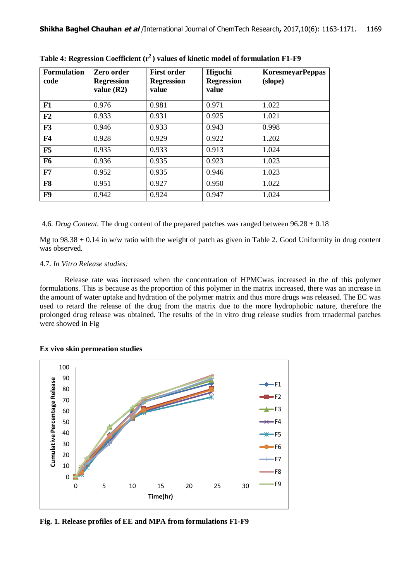| <b>Formulation</b><br>code | Zero order<br><b>Regression</b><br>value $(R2)$ | <b>First order</b><br><b>Regression</b><br>value | Higuchi<br><b>Regression</b><br>value | <b>KoresmeyarPeppas</b><br>(slope) |
|----------------------------|-------------------------------------------------|--------------------------------------------------|---------------------------------------|------------------------------------|
| ${\bf F1}$                 | 0.976                                           | 0.981                                            | 0.971                                 | 1.022                              |
| F <sub>2</sub>             | 0.933                                           | 0.931                                            | 0.925                                 | 1.021                              |
| F3                         | 0.946                                           | 0.933                                            | 0.943                                 | 0.998                              |
| <b>F4</b>                  | 0.928                                           | 0.929                                            | 0.922                                 | 1.202                              |
| F5                         | 0.935                                           | 0.933                                            | 0.913                                 | 1.024                              |
| <b>F6</b>                  | 0.936                                           | 0.935                                            | 0.923                                 | 1.023                              |
| F7                         | 0.952                                           | 0.935                                            | 0.946                                 | 1.023                              |
| F <sub>8</sub>             | 0.951                                           | 0.927                                            | 0.950                                 | 1.022                              |
| F9                         | 0.942                                           | 0.924                                            | 0.947                                 | 1.024                              |

**Table 4: Regression Coefficient (r<sup>2</sup>) values of kinetic model of formulation F1-F9**

4.6. *Drug Content*. The drug content of the prepared patches was ranged between 96.28 ± 0.18

Mg to  $98.38 \pm 0.14$  in w/w ratio with the weight of patch as given in Table 2. Good Uniformity in drug content was observed.

# 4.7. *In Vitro Release studies:*

Release rate was increased when the concentration of HPMCwas increased in the of this polymer formulations. This is because as the proportion of this polymer in the matrix increased, there was an increase in the amount of water uptake and hydration of the polymer matrix and thus more drugs was released. The EC was used to retard the release of the drug from the matrix due to the more hydrophobic nature, therefore the prolonged drug release was obtained. The results of the in vitro drug release studies from trnadermal patches were showed in Fig

> F8 F9

#### 100 90 **Cumulative Percentage Release Cumulative Percentage Release**  $-F1$ 80  $-F2$ 70  $-F3$ 60 50  $\leftarrow$  F4 40  $\leftarrow$  F5 30  $-56$ 20  $-F7$ 10 0 0 5 10 15 20 25 30 **Time(hr)**

# **Ex vivo skin permeation studies**

**Fig. 1. Release profiles of EE and MPA from formulations F1-F9**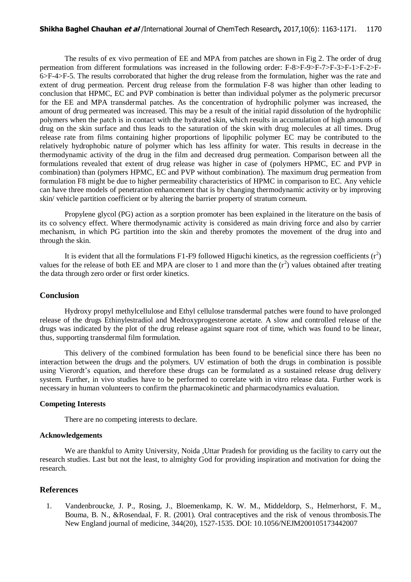The results of ex vivo permeation of EE and MPA from patches are shown in Fig 2. The order of drug permeation from different formulations was increased in the following order: F-8>F-9>F-7>F-3>F-1>F-2>F-6>F-4>F-5. The results corroborated that higher the drug release from the formulation, higher was the rate and extent of drug permeation. Percent drug release from the formulation F-8 was higher than other leading to conclusion that HPMC, EC and PVP combination is better than individual polymer as the polymeric precursor for the EE and MPA transdermal patches. As the concentration of hydrophilic polymer was increased, the amount of drug permeated was increased. This may be a result of the initial rapid dissolution of the hydrophilic polymers when the patch is in contact with the hydrated skin, which results in accumulation of high amounts of drug on the skin surface and thus leads to the saturation of the skin with drug molecules at all times. Drug release rate from films containing higher proportions of lipophilic polymer EC may be contributed to the relatively hydrophobic nature of polymer which has less affinity for water. This results in decrease in the thermodynamic activity of the drug in the film and decreased drug permeation. Comparison between all the formulations revealed that extent of drug release was higher in case of (polymers HPMC, EC and PVP in combination) than (polymers HPMC, EC and PVP without combination). The maximum drug permeation from formulation F8 might be due to higher permeability characteristics of HPMC in comparison to EC. Any vehicle can have three models of penetration enhancement that is by changing thermodynamic activity or by improving skin/ vehicle partition coefficient or by altering the barrier property of stratum corneum.

Propylene glycol (PG) action as a sorption promoter has been explained in the literature on the basis of its co solvency effect. Where thermodynamic activity is considered as main driving force and also by carrier mechanism, in which PG partition into the skin and thereby promotes the movement of the drug into and through the skin.

It is evident that all the formulations F1-F9 followed Higuchi kinetics, as the regression coefficients  $(r^2)$ values for the release of both EE and MPA are closer to 1 and more than the  $(r^2)$  values obtained after treating the data through zero order or first order kinetics.

## **Conclusion**

Hydroxy propyl methylcellulose and Ethyl cellulose transdermal patches were found to have prolonged release of the drugs Ethinylestradiol and Medroxyprogesterone acetate. A slow and controlled release of the drugs was indicated by the plot of the drug release against square root of time, which was found to be linear, thus, supporting transdermal film formulation.

This delivery of the combined formulation has been found to be beneficial since there has been no interaction between the drugs and the polymers. UV estimation of both the drugs in combination is possible using Vierordt's equation, and therefore these drugs can be formulated as a sustained release drug delivery system. Further, in vivo studies have to be performed to correlate with in vitro release data. Further work is necessary in human volunteers to confirm the pharmacokinetic and pharmacodynamics evaluation.

# **Competing Interests**

There are no competing interests to declare.

# **Acknowledgements**

We are thankful to Amity University, Noida ,Uttar Pradesh for providing us the facility to carry out the research studies. Last but not the least, to almighty God for providing inspiration and motivation for doing the research.

## **References**

1. Vandenbroucke, J. P., Rosing, J., Bloemenkamp, K. W. M., Middeldorp, S., Helmerhorst, F. M., Bouma, B. N., &Rosendaal, F. R. (2001). Oral contraceptives and the risk of venous thrombosis.The New England journal of medicine, 344(20), 1527-1535. DOI: 10.1056/NEJM200105173442007